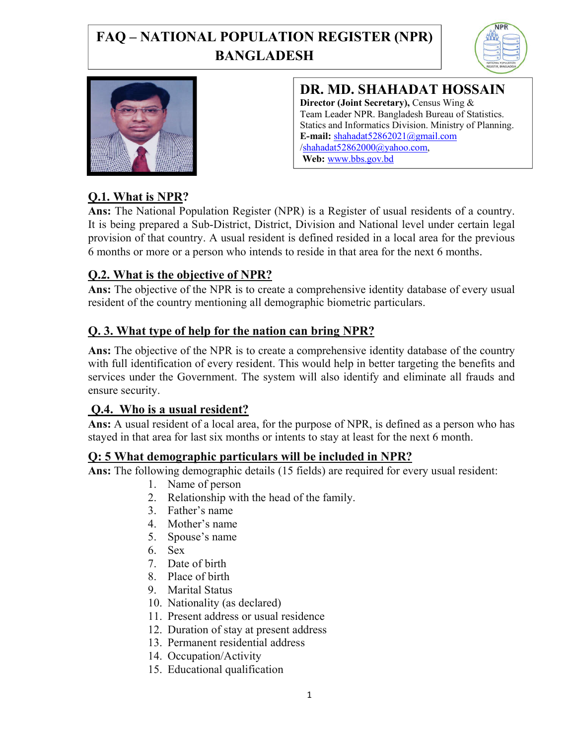# **FAQ – NATIONAL POPULATION REGISTER (NPR) BANGLADESH**





**DR. MD. SHAHADAT HOSSAIN Director (Joint Secretary),** Census Wing & Team Leader NPR. Bangladesh Bureau of Statistics. Statics and Informatics Division. Ministry of Planning. **E-mail:** shahadat52862021@gmail.com /shahadat52862000@yahoo.com, **Web:** www.bbs.gov.bd

# **Q.1. What is NPR?**

**Ans:** The National Population Register (NPR) is a Register of usual residents of a country. It is being prepared a Sub-District, District, Division and National level under certain legal provision of that country. A usual resident is defined resided in a local area for the previous 6 months or more or a person who intends to reside in that area for the next 6 months.

### **Q.2. What is the objective of NPR?**

**Ans:** The objective of the NPR is to create a comprehensive identity database of every usual resident of the country mentioning all demographic biometric particulars.

### **Q. 3. What type of help for the nation can bring NPR?**

**Ans:** The objective of the NPR is to create a comprehensive identity database of the country with full identification of every resident. This would help in better targeting the benefits and services under the Government. The system will also identify and eliminate all frauds and ensure security.

### **Q.4. Who is a usual resident?**

**Ans:** A usual resident of a local area, for the purpose of NPR, is defined as a person who has stayed in that area for last six months or intents to stay at least for the next 6 month.

### **Q: 5 What demographic particulars will be included in NPR?**

**Ans:** The following demographic details (15 fields) are required for every usual resident:

- 1. Name of person
- 2. Relationship with the head of the family.
- 3. Father's name
- 4. Mother's name
- 5. Spouse's name
- 6. Sex
- 7. Date of birth
- 8. Place of birth
- 9. Marital Status
- 10. Nationality (as declared)
- 11. Present address or usual residence
- 12. Duration of stay at present address
- 13. Permanent residential address
- 14. Occupation/Activity
- 15. Educational qualification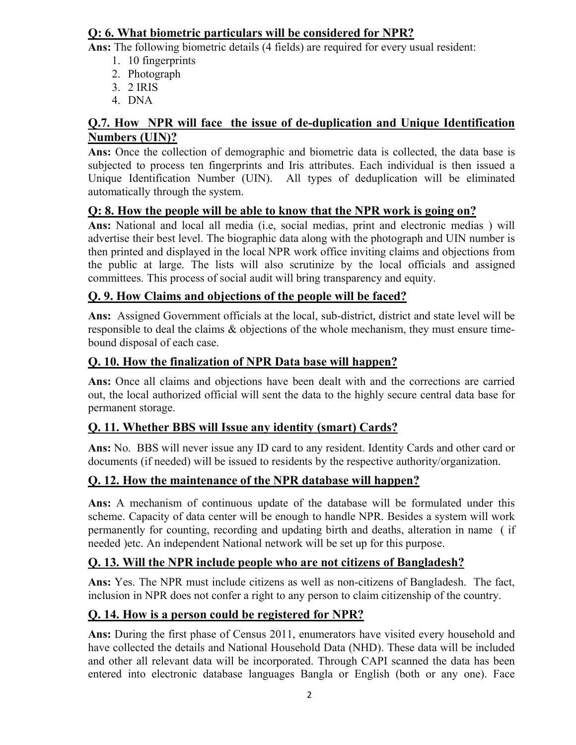## **Q: 6. What biometric particulars will be considered for NPR?**

**Ans:** The following biometric details (4 fields) are required for every usual resident:

- 1. 10 fingerprints
- 2. Photograph
- 3. 2 IRIS
- 4. DNA

# **Q.7. How NPR will face the issue of de-duplication and Unique Identification Numbers (UIN)?**

**Ans:** Once the collection of demographic and biometric data is collected, the data base is subjected to process ten fingerprints and Iris attributes. Each individual is then issued a Unique Identification Number (UIN). All types of deduplication will be eliminated automatically through the system.

### **Q: 8. How the people will be able to know that the NPR work is going on?**

**Ans:** National and local all media (i.e, social medias, print and electronic medias ) will advertise their best level. The biographic data along with the photograph and UIN number is then printed and displayed in the local NPR work office inviting claims and objections from the public at large. The lists will also scrutinize by the local officials and assigned committees. This process of social audit will bring transparency and equity.

## **Q. 9. How Claims and objections of the people will be faced?**

**Ans:** Assigned Government officials at the local, sub-district, district and state level will be responsible to deal the claims & objections of the whole mechanism, they must ensure timebound disposal of each case.

### **Q. 10. How the finalization of NPR Data base will happen?**

**Ans:** Once all claims and objections have been dealt with and the corrections are carried out, the local authorized official will sent the data to the highly secure central data base for permanent storage.

### **Q. 11. Whether BBS will Issue any identity (smart) Cards?**

**Ans:** No. BBS will never issue any ID card to any resident. Identity Cards and other card or documents (if needed) will be issued to residents by the respective authority/organization.

### **Q. 12. How the maintenance of the NPR database will happen?**

**Ans:** A mechanism of continuous update of the database will be formulated under this scheme. Capacity of data center will be enough to handle NPR. Besides a system will work permanently for counting, recording and updating birth and deaths, alteration in name ( if needed )etc. An independent National network will be set up for this purpose.

### **Q. 13. Will the NPR include people who are not citizens of Bangladesh?**

**Ans:** Yes. The NPR must include citizens as well as non-citizens of Bangladesh. The fact, inclusion in NPR does not confer a right to any person to claim citizenship of the country.

### **Q. 14. How is a person could be registered for NPR?**

**Ans:** During the first phase of Census 2011, enumerators have visited every household and have collected the details and National Household Data (NHD). These data will be included and other all relevant data will be incorporated. Through CAPI scanned the data has been entered into electronic database languages Bangla or English (both or any one). Face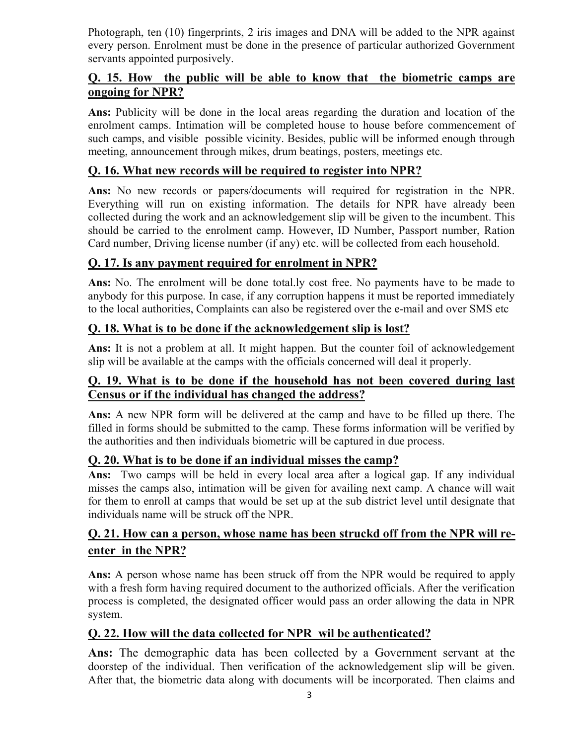Photograph, ten (10) fingerprints, 2 iris images and DNA will be added to the NPR against every person. Enrolment must be done in the presence of particular authorized Government servants appointed purposively.

### **Q. 15. How the public will be able to know that the biometric camps are ongoing for NPR?**

**Ans:** Publicity will be done in the local areas regarding the duration and location of the enrolment camps. Intimation will be completed house to house before commencement of such camps, and visible possible vicinity. Besides, public will be informed enough through meeting, announcement through mikes, drum beatings, posters, meetings etc.

### **Q. 16. What new records will be required to register into NPR?**

**Ans:** No new records or papers/documents will required for registration in the NPR. Everything will run on existing information. The details for NPR have already been collected during the work and an acknowledgement slip will be given to the incumbent. This should be carried to the enrolment camp. However, ID Number, Passport number, Ration Card number, Driving license number (if any) etc. will be collected from each household.

### **Q. 17. Is any payment required for enrolment in NPR?**

**Ans:** No. The enrolment will be done total.ly cost free. No payments have to be made to anybody for this purpose. In case, if any corruption happens it must be reported immediately to the local authorities, Complaints can also be registered over the e-mail and over SMS etc

### **Q. 18. What is to be done if the acknowledgement slip is lost?**

**Ans:** It is not a problem at all. It might happen. But the counter foil of acknowledgement slip will be available at the camps with the officials concerned will deal it properly.

### **Q. 19. What is to be done if the household has not been covered during last Census or if the individual has changed the address?**

**Ans:** A new NPR form will be delivered at the camp and have to be filled up there. The filled in forms should be submitted to the camp. These forms information will be verified by the authorities and then individuals biometric will be captured in due process.

#### **Q. 20. What is to be done if an individual misses the camp?**

**Ans:** Two camps will be held in every local area after a logical gap. If any individual misses the camps also, intimation will be given for availing next camp. A chance will wait for them to enroll at camps that would be set up at the sub district level until designate that individuals name will be struck off the NPR.

## **Q. 21. How can a person, whose name has been struckd off from the NPR will reenter in the NPR?**

**Ans:** A person whose name has been struck off from the NPR would be required to apply with a fresh form having required document to the authorized officials. After the verification process is completed, the designated officer would pass an order allowing the data in NPR system.

#### **Q. 22. How will the data collected for NPR wil be authenticated?**

**Ans:** The demographic data has been collected by a Government servant at the doorstep of the individual. Then verification of the acknowledgement slip will be given. After that, the biometric data along with documents will be incorporated. Then claims and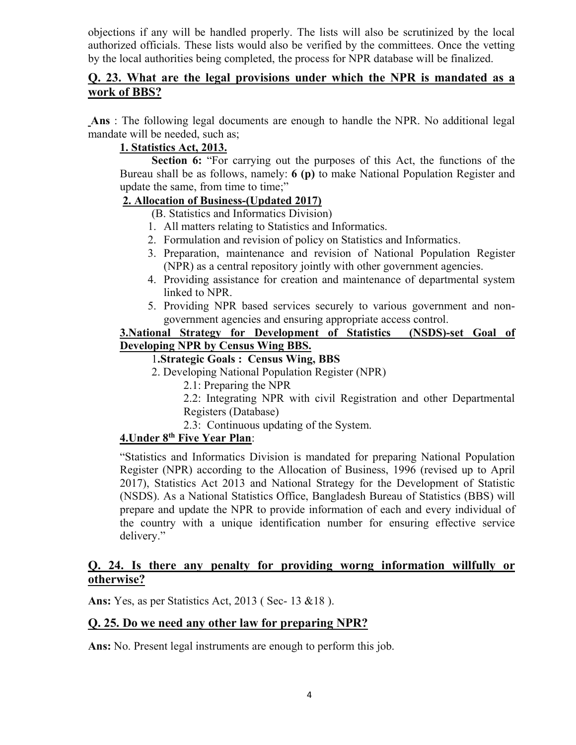objections if any will be handled properly. The lists will also be scrutinized by the local authorized officials. These lists would also be verified by the committees. Once the vetting by the local authorities being completed, the process for NPR database will be finalized.

#### **Q. 23. What are the legal provisions under which the NPR is mandated as a work of BBS?**

**Ans** : The following legal documents are enough to handle the NPR. No additional legal mandate will be needed, such as;

#### **1. Statistics Act, 2013.**

**Section 6:** "For carrying out the purposes of this Act, the functions of the Bureau shall be as follows, namely: **6 (p)** to make National Population Register and update the same, from time to time;"

#### **2. Allocation of Business-(Updated 2017)**

(B. Statistics and Informatics Division)

- 1. All matters relating to Statistics and Informatics.
- 2. Formulation and revision of policy on Statistics and Informatics.
- 3. Preparation, maintenance and revision of National Population Register (NPR) as a central repository jointly with other government agencies.
- 4. Providing assistance for creation and maintenance of departmental system linked to NPR.
- 5. Providing NPR based services securely to various government and nongovernment agencies and ensuring appropriate access control.

#### **3.National Strategy for Development of Statistics (NSDS)-set Goal of Developing NPR by Census Wing BBS.**

#### 1**.Strategic Goals : Census Wing, BBS**

- 2. Developing National Population Register (NPR)
	- 2.1: Preparing the NPR

2.2: Integrating NPR with civil Registration and other Departmental Registers (Database)

2.3: Continuous updating of the System.

#### **4.Under 8th Five Year Plan**:

"Statistics and Informatics Division is mandated for preparing National Population Register (NPR) according to the Allocation of Business, 1996 (revised up to April 2017), Statistics Act 2013 and National Strategy for the Development of Statistic (NSDS). As a National Statistics Office, Bangladesh Bureau of Statistics (BBS) will prepare and update the NPR to provide information of each and every individual of the country with a unique identification number for ensuring effective service delivery."

### **Q. 24. Is there any penalty for providing worng information willfully or otherwise?**

**Ans:** Yes, as per Statistics Act, 2013 ( Sec- 13 &18 ).

#### **Q. 25. Do we need any other law for preparing NPR?**

**Ans:** No. Present legal instruments are enough to perform this job.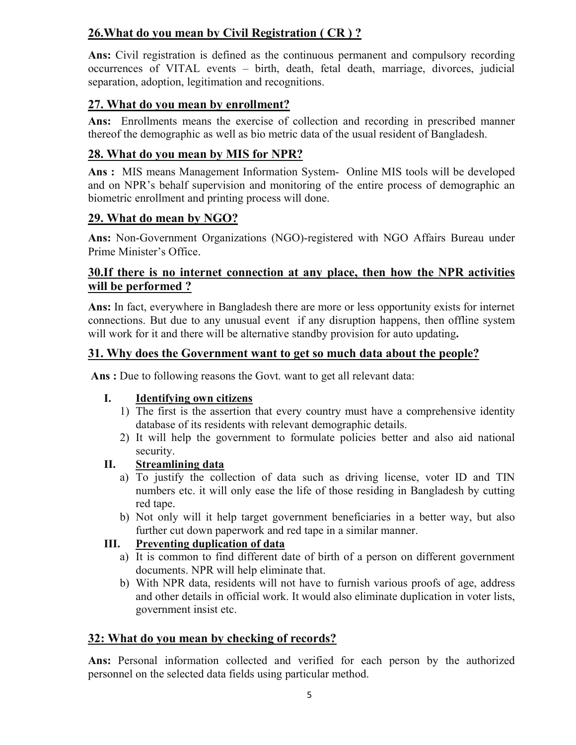# **26.What do you mean by Civil Registration ( CR ) ?**

**Ans:** Civil registration is defined as the continuous permanent and compulsory recording occurrences of VITAL events – birth, death, fetal death, marriage, divorces, judicial separation, adoption, legitimation and recognitions.

### **27. What do you mean by enrollment?**

**Ans:** Enrollments means the exercise of collection and recording in prescribed manner thereof the demographic as well as bio metric data of the usual resident of Bangladesh.

### **28. What do you mean by MIS for NPR?**

**Ans :** MIS means Management Information System- Online MIS tools will be developed and on NPR's behalf supervision and monitoring of the entire process of demographic an biometric enrollment and printing process will done.

### **29. What do mean by NGO?**

**Ans:** Non-Government Organizations (NGO)-registered with NGO Affairs Bureau under Prime Minister's Office.

### **30.If there is no internet connection at any place, then how the NPR activities will be performed ?**

**Ans:** In fact, everywhere in Bangladesh there are more or less opportunity exists for internet connections. But due to any unusual event if any disruption happens, then offline system will work for it and there will be alternative standby provision for auto updating**.**

### **31. Why does the Government want to get so much data about the people?**

Ans : Due to following reasons the Govt. want to get all relevant data:

#### **I. Identifying own citizens**

- 1) The first is the assertion that every country must have a comprehensive identity database of its residents with relevant demographic details.
- 2) It will help the government to formulate policies better and also aid national security.

#### **II. Streamlining data**

- a) To justify the collection of data such as driving license, voter ID and TIN numbers etc. it will only ease the life of those residing in Bangladesh by cutting red tape.
- b) Not only will it help target government beneficiaries in a better way, but also further cut down paperwork and red tape in a similar manner.

#### **III. Preventing duplication of data**

- a) It is common to find different date of birth of a person on different government documents. NPR will help eliminate that.
- b) With NPR data, residents will not have to furnish various proofs of age, address and other details in official work. It would also eliminate duplication in voter lists, government insist etc.

#### **32: What do you mean by checking of records?**

**Ans:** Personal information collected and verified for each person by the authorized personnel on the selected data fields using particular method.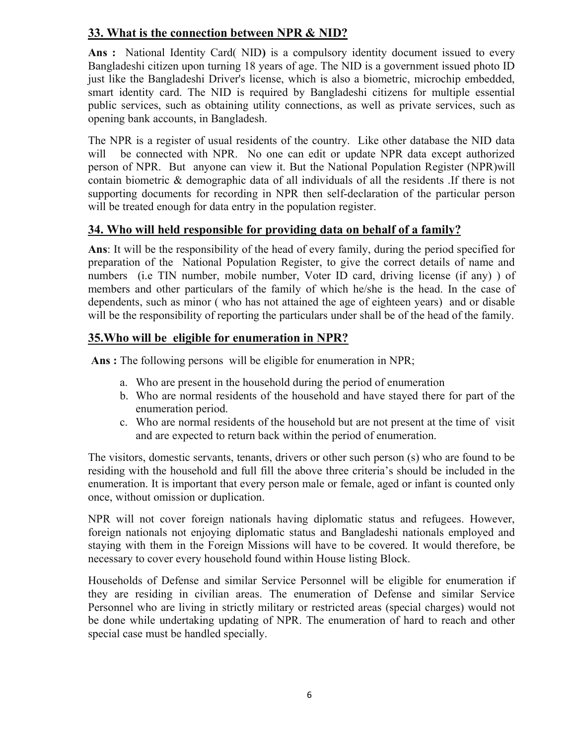## **33. What is the connection between NPR & NID?**

**Ans :** National Identity Card( NID**)** is a compulsory identity document issued to every Bangladeshi citizen upon turning 18 years of age. The NID is a government issued photo ID just like the Bangladeshi Driver's license, which is also a biometric, microchip embedded, smart identity card. The NID is required by Bangladeshi citizens for multiple essential public services, such as obtaining utility connections, as well as private services, such as opening bank accounts, in Bangladesh.

The NPR is a register of usual residents of the country. Like other database the NID data will be connected with NPR. No one can edit or update NPR data except authorized person of NPR. But anyone can view it. But the National Population Register (NPR)will contain biometric & demographic data of all individuals of all the residents .If there is not supporting documents for recording in NPR then self-declaration of the particular person will be treated enough for data entry in the population register.

### **34. Who will held responsible for providing data on behalf of a family?**

**Ans**: It will be the responsibility of the head of every family, during the period specified for preparation of the National Population Register, to give the correct details of name and numbers (i.e TIN number, mobile number, Voter ID card, driving license (if any) ) of members and other particulars of the family of which he/she is the head. In the case of dependents, such as minor ( who has not attained the age of eighteen years) and or disable will be the responsibility of reporting the particulars under shall be of the head of the family.

### **35.Who will be eligible for enumeration in NPR?**

**Ans :** The following persons will be eligible for enumeration in NPR;

- a. Who are present in the household during the period of enumeration
- b. Who are normal residents of the household and have stayed there for part of the enumeration period.
- c. Who are normal residents of the household but are not present at the time of visit and are expected to return back within the period of enumeration.

The visitors, domestic servants, tenants, drivers or other such person (s) who are found to be residing with the household and full fill the above three criteria's should be included in the enumeration. It is important that every person male or female, aged or infant is counted only once, without omission or duplication.

NPR will not cover foreign nationals having diplomatic status and refugees. However, foreign nationals not enjoying diplomatic status and Bangladeshi nationals employed and staying with them in the Foreign Missions will have to be covered. It would therefore, be necessary to cover every household found within House listing Block.

Households of Defense and similar Service Personnel will be eligible for enumeration if they are residing in civilian areas. The enumeration of Defense and similar Service Personnel who are living in strictly military or restricted areas (special charges) would not be done while undertaking updating of NPR. The enumeration of hard to reach and other special case must be handled specially.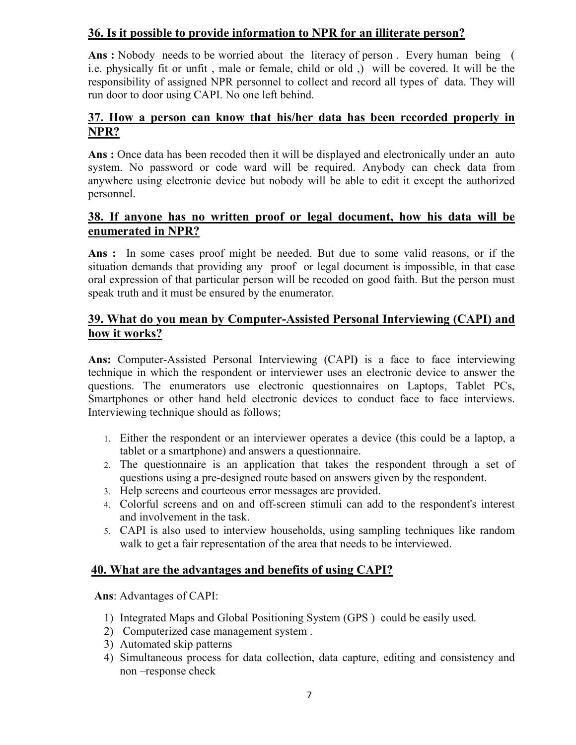### **36. Is it possible to provide information to NPR for an illiterate person?**

**Ans :** Nobody needs to be worried about the literacy of person . Every human being ( i.e. physically fit or unfit , male or female, child or old ,) will be covered. It will be the responsibility of assigned NPR personnel to collect and record all types of data. They will run door to door using CAPI. No one left behind.

### **37. How a person can know that his/her data has been recorded properly in NPR?**

**Ans :** Once data has been recoded then it will be displayed and electronically under an auto system. No password or code ward will be required. Anybody can check data from anywhere using electronic device but nobody will be able to edit it except the authorized personnel.

#### **38. If anyone has no written proof or legal document, how his data will be enumerated in NPR?**

**Ans :** In some cases proof might be needed. But due to some valid reasons, or if the situation demands that providing any proof or legal document is impossible, in that case oral expression of that particular person will be recoded on good faith. But the person must speak truth and it must be ensured by the enumerator.

### **39. What do you mean by Computer-Assisted Personal Interviewing (CAPI) and how it works?**

**Ans:** Computer-Assisted Personal Interviewing (CAPI**)** is a face to face interviewing technique in which the respondent or interviewer uses an electronic device to answer the questions. The enumerators use electronic questionnaires on Laptops, Tablet PCs, Smartphones or other hand held electronic devices to conduct face to face interviews. Interviewing technique should as follows;

- 1. Either the respondent or an interviewer operates a device (this could be a laptop, a tablet or a smartphone) and answers a questionnaire.
- 2. The questionnaire is an application that takes the respondent through a set of questions using a pre-designed route based on answers given by the respondent.
- 3. Help screens and courteous error messages are provided.
- 4. Colorful screens and on and off-screen stimuli can add to the respondent's interest and involvement in the task.
- 5. CAPI is also used to interview households, using sampling techniques like random walk to get a fair representation of the area that needs to be interviewed.

### **40. What are the advantages and benefits of using CAPI?**

**Ans**: Advantages of CAPI:

- 1) Integrated Maps and Global Positioning System (GPS ) could be easily used.
- 2) Computerized case management system .
- 3) Automated skip patterns
- 4) Simultaneous process for data collection, data capture, editing and consistency and non –response check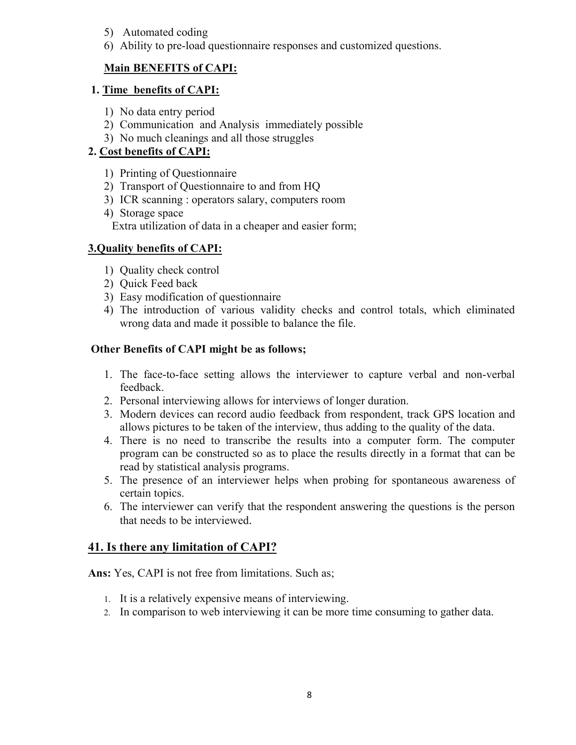- 5) Automated coding
- 6) Ability to pre-load questionnaire responses and customized questions.

### **Main BENEFITS of CAPI:**

### **1. Time benefits of CAPI:**

- 1) No data entry period
- 2) Communication and Analysis immediately possible
- 3) No much cleanings and all those struggles

# **2. Cost benefits of CAPI:**

- 1) Printing of Questionnaire
- 2) Transport of Questionnaire to and from HQ
- 3) ICR scanning : operators salary, computers room
- 4) Storage space Extra utilization of data in a cheaper and easier form;

## **3.Quality benefits of CAPI:**

- 1) Quality check control
- 2) Quick Feed back
- 3) Easy modification of questionnaire
- 4) The introduction of various validity checks and control totals, which eliminated wrong data and made it possible to balance the file.

## **Other Benefits of CAPI might be as follows;**

- 1. The face-to-face setting allows the interviewer to capture verbal and non-verbal feedback.
- 2. Personal interviewing allows for interviews of longer duration.
- 3. Modern devices can record audio feedback from respondent, track GPS location and allows pictures to be taken of the interview, thus adding to the quality of the data.
- 4. There is no need to transcribe the results into a computer form. The computer program can be constructed so as to place the results directly in a format that can be read by statistical analysis programs.
- 5. The presence of an interviewer helps when probing for spontaneous awareness of certain topics.
- 6. The interviewer can verify that the respondent answering the questions is the person that needs to be interviewed.

# **41. Is there any limitation of CAPI?**

**Ans:** Yes, CAPI is not free from limitations. Such as;

- 1. It is a relatively expensive means of interviewing.
- 2. In comparison to web interviewing it can be more time consuming to gather data.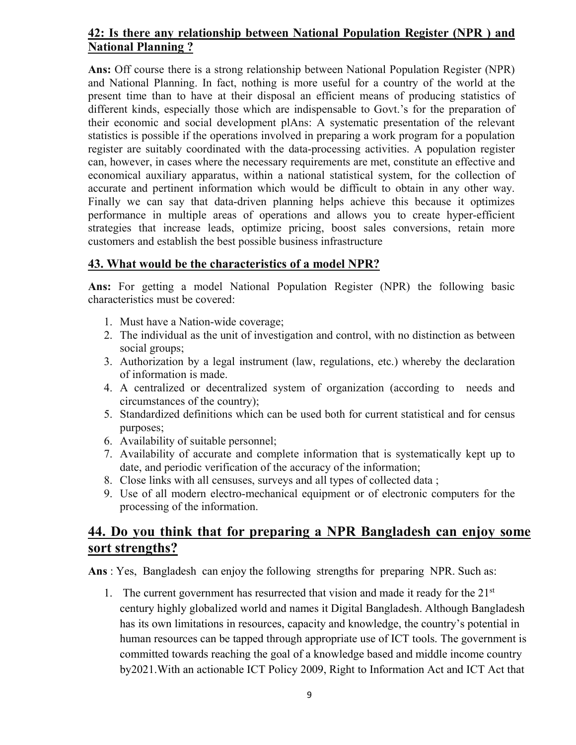### **42: Is there any relationship between National Population Register (NPR ) and National Planning ?**

**Ans:** Off course there is a strong relationship between National Population Register (NPR) and National Planning. In fact, nothing is more useful for a country of the world at the present time than to have at their disposal an efficient means of producing statistics of different kinds, especially those which are indispensable to Govt.'s for the preparation of their economic and social development plAns: A systematic presentation of the relevant statistics is possible if the operations involved in preparing a work program for a population register are suitably coordinated with the data-processing activities. A population register can, however, in cases where the necessary requirements are met, constitute an effective and economical auxiliary apparatus, within a national statistical system, for the collection of accurate and pertinent information which would be difficult to obtain in any other way. Finally we can say that data-driven planning helps achieve this because it optimizes performance in multiple areas of operations and allows you to create hyper-efficient strategies that increase leads, optimize pricing, boost sales conversions, retain more customers and establish the best possible business infrastructure

### **43. What would be the characteristics of a model NPR?**

**Ans:** For getting a model National Population Register (NPR) the following basic characteristics must be covered:

- 1. Must have a Nation-wide coverage;
- 2. The individual as the unit of investigation and control, with no distinction as between social groups;
- 3. Authorization by a legal instrument (law, regulations, etc.) whereby the declaration of information is made.
- 4. A centralized or decentralized system of organization (according to needs and circumstances of the country);
- 5. Standardized definitions which can be used both for current statistical and for census purposes;
- 6. Availability of suitable personnel;
- 7. Availability of accurate and complete information that is systematically kept up to date, and periodic verification of the accuracy of the information;
- 8. Close links with all censuses, surveys and all types of collected data ;
- 9. Use of all modern electro-mechanical equipment or of electronic computers for the processing of the information.

# **44. Do you think that for preparing a NPR Bangladesh can enjoy some sort strengths?**

**Ans** : Yes, Bangladesh can enjoy the following strengths for preparing NPR. Such as:

1. The current government has resurrected that vision and made it ready for the  $21<sup>st</sup>$ century highly globalized world and names it Digital Bangladesh. Although Bangladesh has its own limitations in resources, capacity and knowledge, the country's potential in human resources can be tapped through appropriate use of ICT tools. The government is committed towards reaching the goal of a knowledge based and middle income country by2021.With an actionable ICT Policy 2009, Right to Information Act and ICT Act that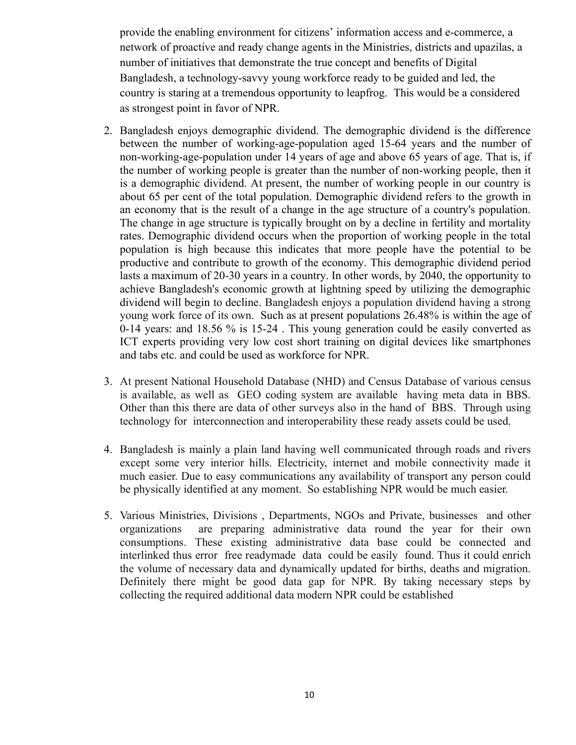provide the enabling environment for citizens' information access and e-commerce, a network of proactive and ready change agents in the Ministries, districts and upazilas, a number of initiatives that demonstrate the true concept and benefits of Digital Bangladesh, a technology-savvy young workforce ready to be guided and led, the country is staring at a tremendous opportunity to leapfrog. This would be a considered as strongest point in favor of NPR.

- 2. Bangladesh enjoys demographic dividend. The demographic dividend is the difference between the number of working-age-population aged 15-64 years and the number of non-working-age-population under 14 years of age and above 65 years of age. That is, if the number of working people is greater than the number of non-working people, then it is a demographic dividend. At present, the number of working people in our country is about 65 per cent of the total population. Demographic dividend refers to the growth in an economy that is the result of a change in the age structure of a country's population. The change in age structure is typically brought on by a decline in fertility and mortality rates. Demographic dividend occurs when the proportion of working people in the total population is high because this indicates that more people have the potential to be productive and contribute to growth of the economy. This demographic dividend period lasts a maximum of 20-30 years in a country. In other words, by 2040, the opportunity to achieve Bangladesh's economic growth at lightning speed by utilizing the demographic dividend will begin to decline. Bangladesh enjoys a population dividend having a strong young work force of its own. Such as at present populations 26.48% is within the age of 0-14 years: and 18.56 % is 15-24 . This young generation could be easily converted as ICT experts providing very low cost short training on digital devices like smartphones and tabs etc. and could be used as workforce for NPR.
- 3. At present National Household Database (NHD) and Census Database of various census is available, as well as GEO coding system are available having meta data in BBS. Other than this there are data of other surveys also in the hand of BBS. Through using technology for interconnection and interoperability these ready assets could be used.
- 4. Bangladesh is mainly a plain land having well communicated through roads and rivers except some very interior hills. Electricity, internet and mobile connectivity made it much easier. Due to easy communications any availability of transport any person could be physically identified at any moment. So establishing NPR would be much easier.
- 5. Various Ministries, Divisions , Departments, NGOs and Private, businesses and other organizations are preparing administrative data round the year for their own consumptions. These existing administrative data base could be connected and interlinked thus error free readymade data could be easily found. Thus it could enrich the volume of necessary data and dynamically updated for births, deaths and migration. Definitely there might be good data gap for NPR. By taking necessary steps by collecting the required additional data modern NPR could be established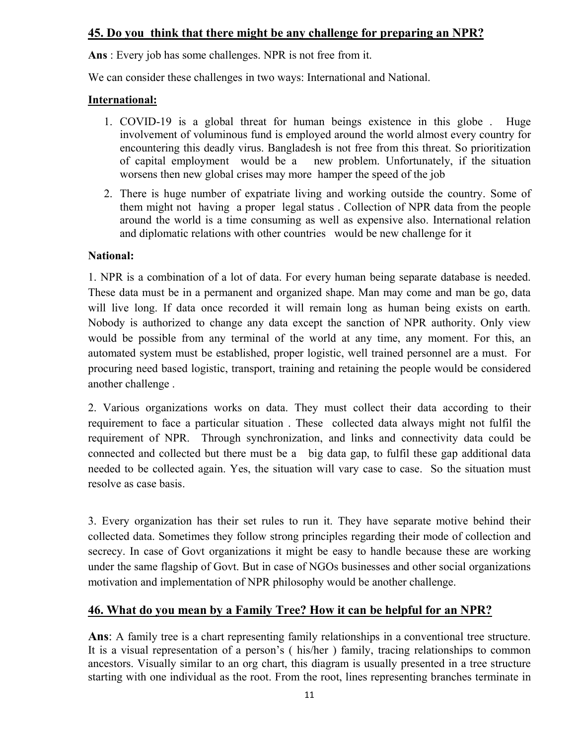### **45. Do you think that there might be any challenge for preparing an NPR?**

**Ans** : Every job has some challenges. NPR is not free from it.

We can consider these challenges in two ways: International and National.

#### **International:**

- 1. COVID-19 is a global threat for human beings existence in this globe . Huge involvement of voluminous fund is employed around the world almost every country for encountering this deadly virus. Bangladesh is not free from this threat. So prioritization of capital employment would be a new problem. Unfortunately, if the situation worsens then new global crises may more hamper the speed of the job
- 2. There is huge number of expatriate living and working outside the country. Some of them might not having a proper legal status . Collection of NPR data from the people around the world is a time consuming as well as expensive also. International relation and diplomatic relations with other countries would be new challenge for it

#### **National:**

1. NPR is a combination of a lot of data. For every human being separate database is needed. These data must be in a permanent and organized shape. Man may come and man be go, data will live long. If data once recorded it will remain long as human being exists on earth. Nobody is authorized to change any data except the sanction of NPR authority. Only view would be possible from any terminal of the world at any time, any moment. For this, an automated system must be established, proper logistic, well trained personnel are a must. For procuring need based logistic, transport, training and retaining the people would be considered another challenge .

2. Various organizations works on data. They must collect their data according to their requirement to face a particular situation . These collected data always might not fulfil the requirement of NPR. Through synchronization, and links and connectivity data could be connected and collected but there must be a big data gap, to fulfil these gap additional data needed to be collected again. Yes, the situation will vary case to case. So the situation must resolve as case basis.

3. Every organization has their set rules to run it. They have separate motive behind their collected data. Sometimes they follow strong principles regarding their mode of collection and secrecy. In case of Govt organizations it might be easy to handle because these are working under the same flagship of Govt. But in case of NGOs businesses and other social organizations motivation and implementation of NPR philosophy would be another challenge.

#### **46. What do you mean by a Family Tree? How it can be helpful for an NPR?**

**Ans**: A family tree is a chart representing family relationships in a conventional tree structure. It is a visual representation of a person's ( his/her ) family, tracing relationships to common ancestors. Visually similar to an org chart, this diagram is usually presented in a tree structure starting with one individual as the root. From the root, lines representing branches terminate in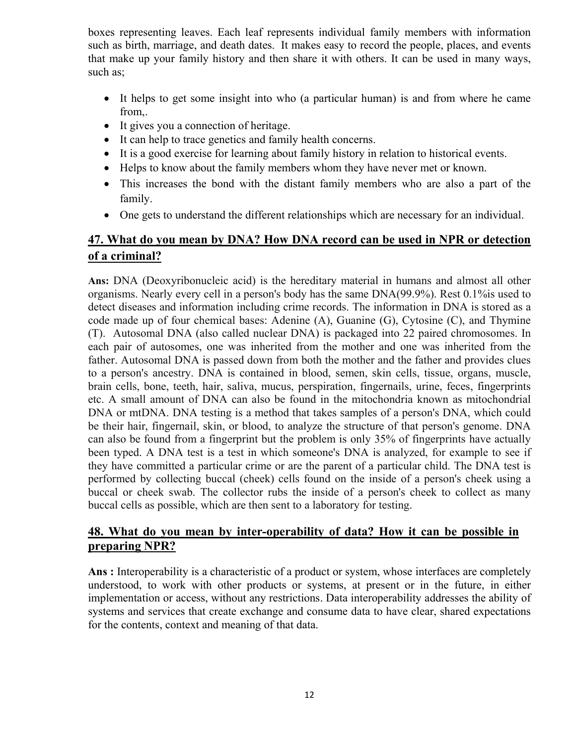boxes representing leaves. Each leaf represents individual family members with information such as birth, marriage, and death dates. It makes easy to record the people, places, and events that make up your family history and then share it with others. It can be used in many ways, such as;

- It helps to get some insight into who (a particular human) is and from where he came from,.
- It gives you a connection of heritage.
- It can help to trace genetics and family health concerns.
- It is a good exercise for learning about family history in relation to historical events.
- Helps to know about the family members whom they have never met or known.
- This increases the bond with the distant family members who are also a part of the family.
- One gets to understand the different relationships which are necessary for an individual.

# **47. What do you mean by DNA? How DNA record can be used in NPR or detection of a criminal?**

**Ans:** DNA (Deoxyribonucleic acid) is the hereditary material in humans and almost all other organisms. Nearly every cell in a person's body has the same DNA(99.9%). Rest 0.1%is used to detect diseases and information including crime records. The information in DNA is stored as a code made up of four chemical bases: Adenine (A), Guanine (G), Cytosine (C), and Thymine (T). Autosomal DNA (also called nuclear DNA) is packaged into 22 paired chromosomes. In each pair of autosomes, one was inherited from the mother and one was inherited from the father. Autosomal DNA is passed down from both the mother and the father and provides clues to a person's ancestry. DNA is contained in blood, semen, skin cells, tissue, organs, muscle, brain cells, bone, teeth, hair, saliva, mucus, perspiration, fingernails, urine, feces, fingerprints etc. A small amount of DNA can also be found in the mitochondria known as mitochondrial DNA or mtDNA. DNA testing is a method that takes samples of a person's DNA, which could be their hair, fingernail, skin, or blood, to analyze the structure of that person's genome. DNA can also be found from a fingerprint but the problem is only 35% of fingerprints have actually been typed. A DNA test is a test in which someone's DNA is analyzed, for example to see if they have committed a particular crime or are the parent of a particular child. The DNA test is performed by collecting buccal (cheek) cells found on the inside of a person's cheek using a buccal or cheek swab. The collector rubs the inside of a person's cheek to collect as many buccal cells as possible, which are then sent to a laboratory for testing.

### **48. What do you mean by inter-operability of data? How it can be possible in preparing NPR?**

**Ans :** Interoperability is a characteristic of a product or system, whose interfaces are completely understood, to work with other products or systems, at present or in the future, in either implementation or access, without any restrictions. Data interoperability addresses the ability of systems and services that create exchange and consume data to have clear, shared expectations for the contents, context and meaning of that data.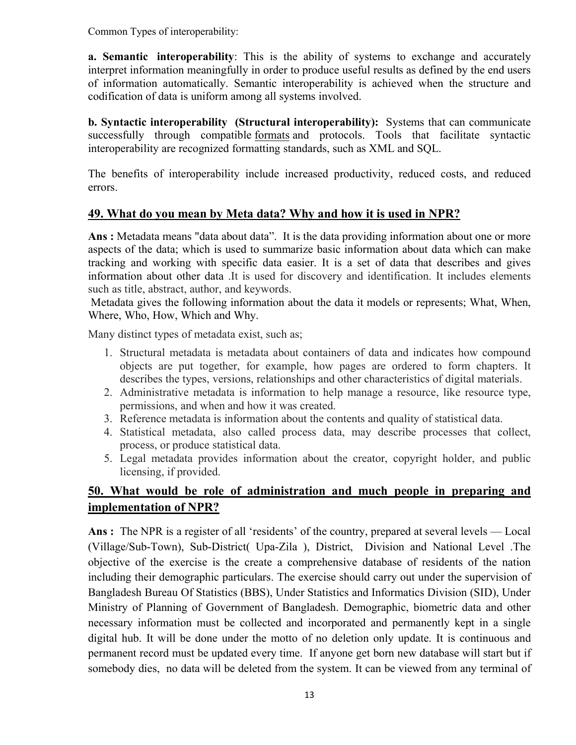Common Types of interoperability:

**a. Semantic interoperability**: This is the ability of systems to exchange and accurately interpret information meaningfully in order to produce useful results as defined by the end users of information automatically. Semantic interoperability is achieved when the structure and codification of data is uniform among all systems involved.

**b. Syntactic interoperability (Structural interoperability):** Systems that can communicate successfully through compatible formats and protocols. Tools that facilitate syntactic interoperability are recognized formatting standards, such as XML and SQL.

The benefits of interoperability include increased productivity, reduced costs, and reduced errors.

## **49. What do you mean by Meta data? Why and how it is used in NPR?**

**Ans :** Metadata means "data about data". It is the data providing information about one or more aspects of the data; which is used to summarize basic information about data which can make tracking and working with specific data easier. It is a set of data that describes and gives information about other data .It is used for discovery and identification. It includes elements such as title, abstract, author, and keywords.

Metadata gives the following information about the data it models or represents; What, When, Where, Who, How, Which and Why.

Many distinct types of metadata exist, such as;

- 1. Structural metadata is metadata about containers of data and indicates how compound objects are put together, for example, how pages are ordered to form chapters. It describes the types, versions, relationships and other characteristics of digital materials.
- 2. Administrative metadata is information to help manage a resource, like resource type, permissions, and when and how it was created.
- 3. Reference metadata is information about the contents and quality of statistical data.
- 4. Statistical metadata, also called process data, may describe processes that collect, process, or produce statistical data.
- 5. Legal metadata provides information about the creator, copyright holder, and public licensing, if provided.

# **50. What would be role of administration and much people in preparing and implementation of NPR?**

**Ans :** The NPR is a register of all 'residents' of the country, prepared at several levels — Local (Village/Sub-Town), Sub-District( Upa-Zila ), District, Division and National Level .The objective of the exercise is the create a comprehensive database of residents of the nation including their demographic particulars. The exercise should carry out under the supervision of Bangladesh Bureau Of Statistics (BBS), Under Statistics and Informatics Division (SID), Under Ministry of Planning of Government of Bangladesh. Demographic, biometric data and other necessary information must be collected and incorporated and permanently kept in a single digital hub. It will be done under the motto of no deletion only update. It is continuous and permanent record must be updated every time. If anyone get born new database will start but if somebody dies, no data will be deleted from the system. It can be viewed from any terminal of